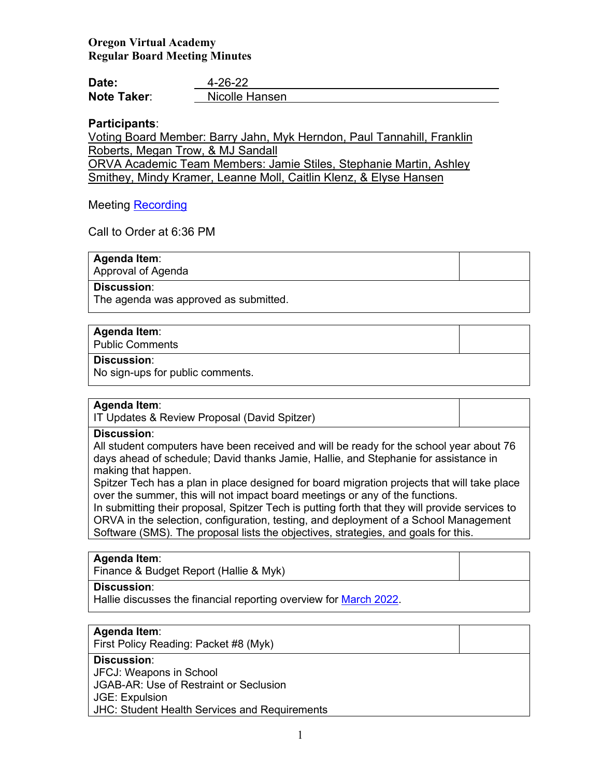# **Oregon Virtual Academy Regular Board Meeting Minutes**

| Date:              | $4 - 26 - 22$  |
|--------------------|----------------|
| <b>Note Taker:</b> | Nicolle Hansen |

### **Participants**:

Voting Board Member: Barry Jahn, Myk Herndon, Paul Tannahill, Franklin Roberts, Megan Trow, & MJ Sandall ORVA Academic Team Members: Jamie Stiles, Stephanie Martin, Ashley Smithey, Mindy Kramer, Leanne Moll, Caitlin Klenz, & Elyse Hansen

### Meeting [Recording](https://us02web.zoom.us/rec/play/5PsmL_HeikYHngYVCHqHY9AkabBBnzSGeMzA9qHTdaGtsfAUytaw8h-TjQb8TC86g5DFs_6RYJQ59peg.v5dNyRa2wGwKyBEr)

Call to Order at 6:36 PM

**Agenda Item**: Approval of Agenda

#### **Discussion**:

The agenda was approved as submitted.

#### **Agenda Item**:

Public Comments

#### **Discussion**:

No sign-ups for public comments.

#### **Agenda Item**:

IT Updates & Review Proposal (David Spitzer)

#### **Discussion**:

All student computers have been received and will be ready for the school year about 76 days ahead of schedule; David thanks Jamie, Hallie, and Stephanie for assistance in making that happen.

Spitzer Tech has a plan in place designed for board migration projects that will take place over the summer, this will not impact board meetings or any of the functions.

In submitting their proposal, Spitzer Tech is putting forth that they will provide services to ORVA in the selection, configuration, testing, and deployment of a School Management Software (SMS). The proposal lists the objectives, strategies, and goals for this.

#### **Agenda Item**:

Finance & Budget Report (Hallie & Myk)

#### **Discussion**:

Hallie discusses the financial reporting overview for [March 2022.](https://k12inc-my.sharepoint.com/:p:/r/personal/nhansen_oregonva_org/Documents/Executive%20Administrative%20Assistant/ORVA%20Board/21-22%20Board%20Packets/10-April%202022/4-26-22%20Regular%20Board%20Meeting/ORVA%20FY22%20March%202022%20YTD.pptx?d=w961be88b2a5945bea2e46cb940dfc4ef&csf=1&web=1&e=ZmjU22)

# **Agenda Item**:

First Policy Reading: Packet #8 (Myk)

# **Discussion**:

JFCJ: Weapons in School

JGAB-AR: Use of Restraint or Seclusion

JGE: Expulsion

JHC: Student Health Services and Requirements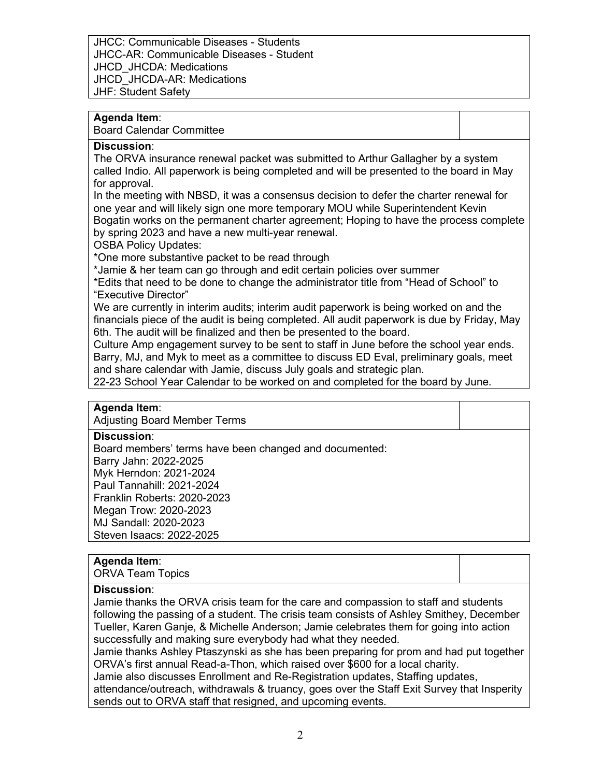JHCC: Communicable Diseases - Students JHCC-AR: Communicable Diseases - Student JHCD\_JHCDA: Medications JHCD\_JHCDA-AR: Medications JHF: Student Safety

# **Agenda Item**:

Board Calendar Committee

#### **Discussion**:

The ORVA insurance renewal packet was submitted to Arthur Gallagher by a system called Indio. All paperwork is being completed and will be presented to the board in May for approval.

In the meeting with NBSD, it was a consensus decision to defer the charter renewal for one year and will likely sign one more temporary MOU while Superintendent Kevin Bogatin works on the permanent charter agreement; Hoping to have the process complete by spring 2023 and have a new multi-year renewal.

OSBA Policy Updates:

\*One more substantive packet to be read through

\*Jamie & her team can go through and edit certain policies over summer

\*Edits that need to be done to change the administrator title from "Head of School" to "Executive Director"

We are currently in interim audits; interim audit paperwork is being worked on and the financials piece of the audit is being completed. All audit paperwork is due by Friday, May 6th. The audit will be finalized and then be presented to the board.

Culture Amp engagement survey to be sent to staff in June before the school year ends. Barry, MJ, and Myk to meet as a committee to discuss ED Eval, preliminary goals, meet and share calendar with Jamie, discuss July goals and strategic plan.

22-23 School Year Calendar to be worked on and completed for the board by June.

### **Agenda Item**:

Adjusting Board Member Terms

#### **Discussion**:

Board members' terms have been changed and documented: Barry Jahn: 2022-2025 Myk Herndon: 2021-2024 Paul Tannahill: 2021-2024 Franklin Roberts: 2020-2023 Megan Trow: 2020-2023 MJ Sandall: 2020-2023 Steven Isaacs: 2022-2025

### **Agenda Item**:

ORVA Team Topics

### **Discussion**:

Jamie thanks the ORVA crisis team for the care and compassion to staff and students following the passing of a student. The crisis team consists of Ashley Smithey, December Tueller, Karen Ganje, & Michelle Anderson; Jamie celebrates them for going into action successfully and making sure everybody had what they needed.

Jamie thanks Ashley Ptaszynski as she has been preparing for prom and had put together ORVA's first annual Read-a-Thon, which raised over \$600 for a local charity.

Jamie also discusses Enrollment and Re-Registration updates, Staffing updates, attendance/outreach, withdrawals & truancy, goes over the Staff Exit Survey that Insperity sends out to ORVA staff that resigned, and upcoming events.